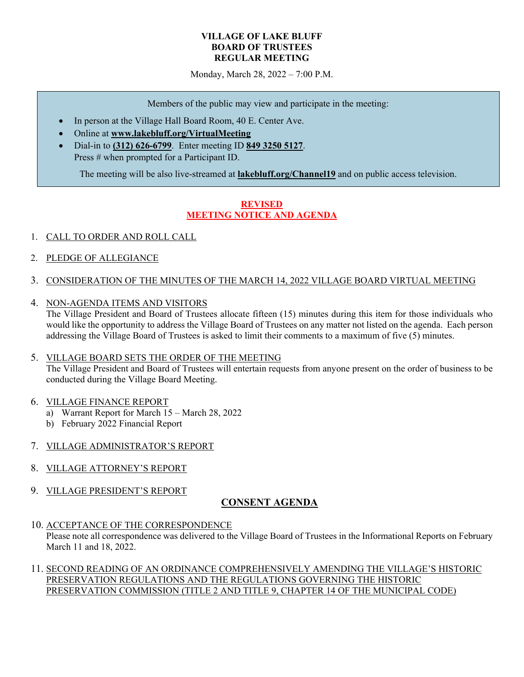#### **VILLAGE OF LAKE BLUFF BOARD OF TRUSTEES REGULAR MEETING**

Monday, March 28, 2022 – 7:00 P.M.

Members of the public may view and participate in the meeting:

- In person at the Village Hall Board Room, 40 E. Center Ave.
- Online at **www.lakebluff.org/VirtualMeeting**
- Dial-in to **(312) 626-6799**. Enter meeting ID **849 3250 5127**. Press # when prompted for a Participant ID.

The meeting will be also live-streamed at **lakebluff.org/Channel19** and on public access television.

## **REVISED MEETING NOTICE AND AGENDA**

- 1. CALL TO ORDER AND ROLL CALL
- 2. PLEDGE OF ALLEGIANCE
- 3. CONSIDERATION OF THE MINUTES OF THE MARCH 14, 2022 VILLAGE BOARD VIRTUAL MEETING
- 4. NON-AGENDA ITEMS AND VISITORS

The Village President and Board of Trustees allocate fifteen (15) minutes during this item for those individuals who would like the opportunity to address the Village Board of Trustees on any matter not listed on the agenda. Each person addressing the Village Board of Trustees is asked to limit their comments to a maximum of five (5) minutes.

#### 5. VILLAGE BOARD SETS THE ORDER OF THE MEETING

The Village President and Board of Trustees will entertain requests from anyone present on the order of business to be conducted during the Village Board Meeting.

#### 6. VILLAGE FINANCE REPORT

- a) Warrant Report for March 15 March 28, 2022
- b) February 2022 Financial Report

### 7. VILLAGE ADMINISTRATOR'S REPORT

- 8. VILLAGE ATTORNEY'S REPORT
- 9. VILLAGE PRESIDENT'S REPORT

### **CONSENT AGENDA**

10. ACCEPTANCE OF THE CORRESPONDENCE

Please note all correspondence was delivered to the Village Board of Trustees in the Informational Reports on February March 11 and 18, 2022.

### 11. SECOND READING OF AN ORDINANCE COMPREHENSIVELY AMENDING THE VILLAGE'S HISTORIC PRESERVATION REGULATIONS AND THE REGULATIONS GOVERNING THE HISTORIC PRESERVATION COMMISSION (TITLE 2 AND TITLE 9, CHAPTER 14 OF THE MUNICIPAL CODE)